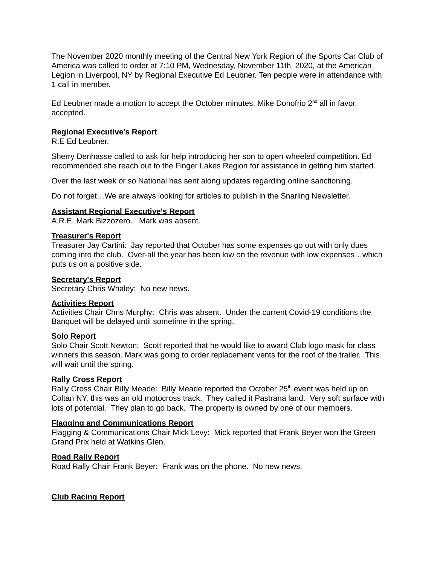The November 2020 monthly meeting of the Central New York Region of the Sports Car Club of America was called to order at 7:10 PM, Wednesday, November 11th, 2020, at the American Legion in Liverpool, NY by Regional Executive Ed Leubner. Ten people were in attendance with 1 call in member.

Ed Leubner made a motion to accept the October minutes, Mike Donofrio  $2^{nd}$  all in favor, accepted.

# **Regional Executive's Report**

R.E Ed Leubner.

Sherry Denhasse called to ask for help introducing her son to open wheeled competition. Ed recommended she reach out to the Finger Lakes Region for assistance in getting him started.

Over the last week or so National has sent along updates regarding online sanctioning.

Do not forget…We are always looking for articles to publish in the Snarling Newsletter.

## **Assistant Regional Executive's Report**

A.R.E. Mark Bizzozero. Mark was absent.

## **Treasurer's Report**

Treasurer Jay Cartini: Jay reported that October has some expenses go out with only dues coming into the club. Over-all the year has been low on the revenue with low expenses…which puts us on a positive side.

### **Secretary's Report**

Secretary Chris Whaley: No new news.

## **Activities Report**

Activities Chair Chris Murphy: Chris was absent. Under the current Covid-19 conditions the Banquet will be delayed until sometime in the spring.

## **Solo Report**

Solo Chair Scott Newton: Scott reported that he would like to award Club logo mask for class winners this season. Mark was going to order replacement vents for the roof of the trailer. This will wait until the spring.

## **Rally Cross Report**

Rally Cross Chair Billy Meade: Billy Meade reported the October 25<sup>th</sup> event was held up on Coltan NY, this was an old motocross track. They called it Pastrana land. Very soft surface with lots of potential. They plan to go back. The property is owned by one of our members.

## **Flagging and Communications Report**

Flagging & Communications Chair Mick Levy: Mick reported that Frank Beyer won the Green Grand Prix held at Watkins Glen.

## **Road Rally Report**

Road Rally Chair Frank Beyer: Frank was on the phone. No new news.

## **Club Racing Report**